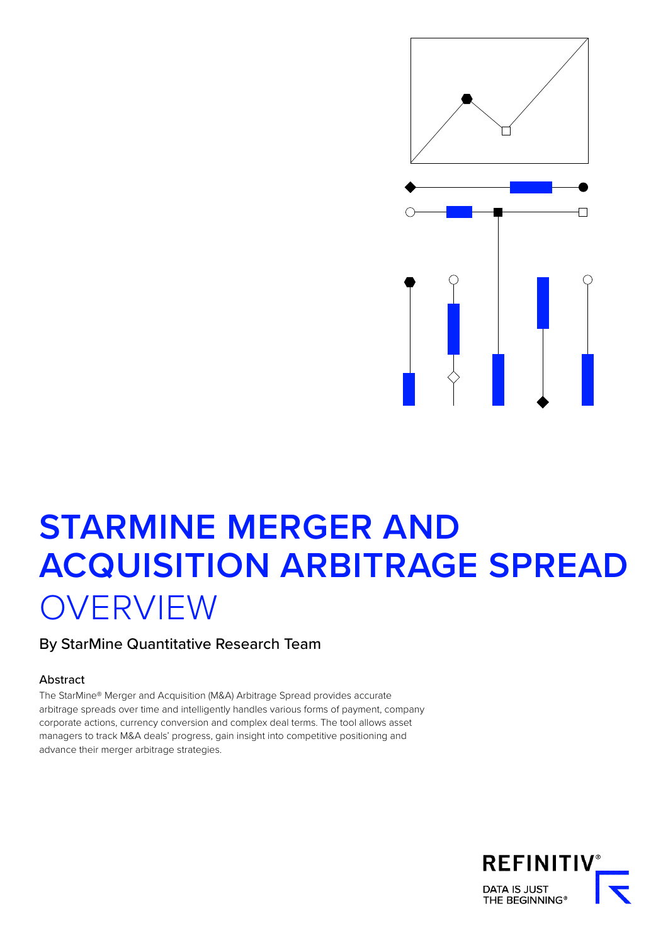

# **STARMINE MERGER AND ACQUISITION ARBITRAGE SPREAD OVERVIEW**

### By StarMine Quantitative Research Team

#### Abstract

The StarMine® Merger and Acquisition (M&A) Arbitrage Spread provides accurate arbitrage spreads over time and intelligently handles various forms of payment, company corporate actions, currency conversion and complex deal terms. The tool allows asset managers to track M&A deals' progress, gain insight into competitive positioning and advance their merger arbitrage strategies.

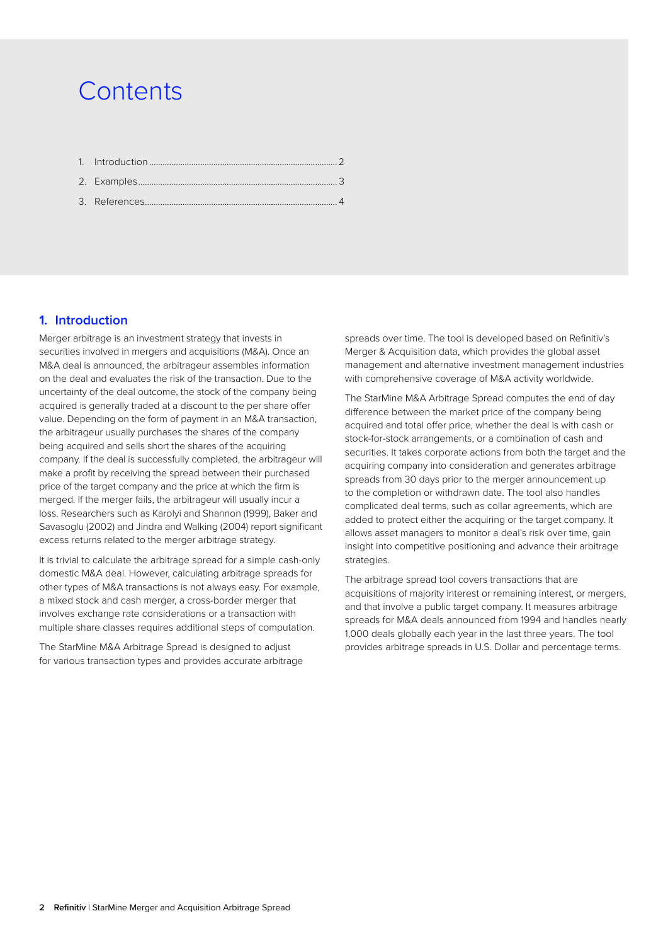## **Contents**

#### **1. Introduction**

Merger arbitrage is an investment strategy that invests in securities involved in mergers and acquisitions (M&A). Once an M&A deal is announced, the arbitrageur assembles information on the deal and evaluates the risk of the transaction. Due to the uncertainty of the deal outcome, the stock of the company being acquired is generally traded at a discount to the per share offer value. Depending on the form of payment in an M&A transaction, the arbitrageur usually purchases the shares of the company being acquired and sells short the shares of the acquiring company. If the deal is successfully completed, the arbitrageur will make a profit by receiving the spread between their purchased price of the target company and the price at which the firm is merged. If the merger fails, the arbitrageur will usually incur a loss. Researchers such as Karolyi and Shannon (1999), Baker and Savasoglu (2002) and Jindra and Walking (2004) report significant excess returns related to the merger arbitrage strategy.

It is trivial to calculate the arbitrage spread for a simple cash-only domestic M&A deal. However, calculating arbitrage spreads for other types of M&A transactions is not always easy. For example, a mixed stock and cash merger, a cross-border merger that involves exchange rate considerations or a transaction with multiple share classes requires additional steps of computation.

The StarMine M&A Arbitrage Spread is designed to adjust for various transaction types and provides accurate arbitrage

spreads over time. The tool is developed based on Refinitiv's Merger & Acquisition data, which provides the global asset management and alternative investment management industries with comprehensive coverage of M&A activity worldwide.

The StarMine M&A Arbitrage Spread computes the end of day difference between the market price of the company being acquired and total offer price, whether the deal is with cash or stock-for-stock arrangements, or a combination of cash and securities. It takes corporate actions from both the target and the acquiring company into consideration and generates arbitrage spreads from 30 days prior to the merger announcement up to the completion or withdrawn date. The tool also handles complicated deal terms, such as collar agreements, which are added to protect either the acquiring or the target company. It allows asset managers to monitor a deal's risk over time, gain insight into competitive positioning and advance their arbitrage strategies.

The arbitrage spread tool covers transactions that are acquisitions of majority interest or remaining interest, or mergers, and that involve a public target company. It measures arbitrage spreads for M&A deals announced from 1994 and handles nearly 1,000 deals globally each year in the last three years. The tool provides arbitrage spreads in U.S. Dollar and percentage terms.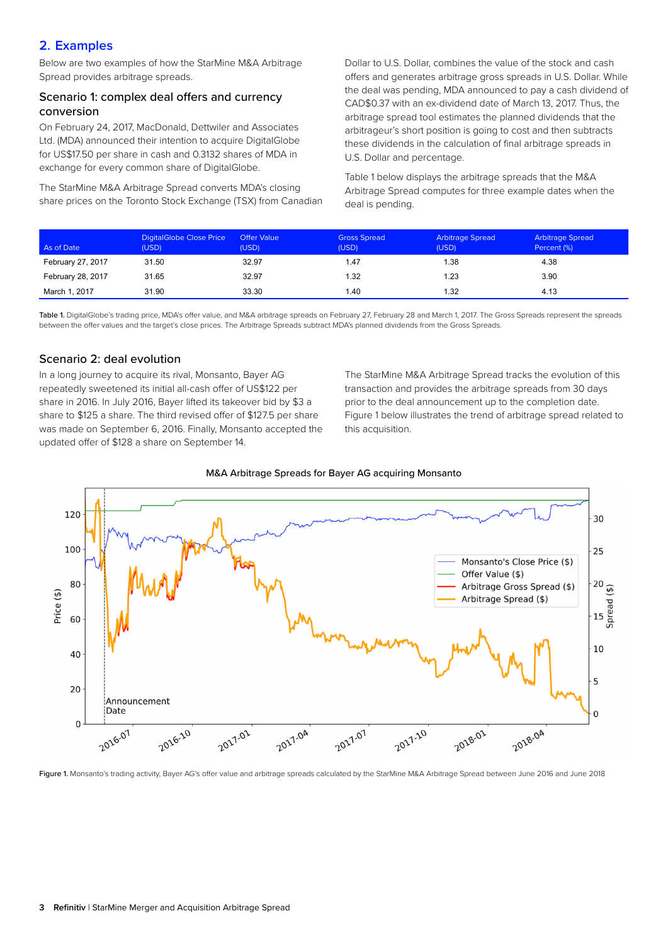#### <span id="page-2-0"></span>**2. Examples**

Below are two examples of how the StarMine M&A Arbitrage Spread provides arbitrage spreads.

#### Scenario 1: complex deal offers and currency conversion

On February 24, 2017, MacDonald, Dettwiler and Associates Ltd. (MDA) announced their intention to acquire DigitalGlobe for US\$17.50 per share in cash and 0.3132 shares of MDA in exchange for every common share of DigitalGlobe.

The StarMine M&A Arbitrage Spread converts MDA's closing share prices on the Toronto Stock Exchange (TSX) from Canadian

Dollar to U.S. Dollar, combines the value of the stock and cash offers and generates arbitrage gross spreads in U.S. Dollar. While the deal was pending, MDA announced to pay a cash dividend of CAD\$0.37 with an ex-dividend date of March 13, 2017. Thus, the arbitrage spread tool estimates the planned dividends that the arbitrageur's short position is going to cost and then subtracts these dividends in the calculation of final arbitrage spreads in U.S. Dollar and percentage.

Table 1 below displays the arbitrage spreads that the M&A Arbitrage Spread computes for three example dates when the deal is pending.

| As of Date        | DigitalGlobe Close Price<br>(USD) | <b>Offer Value</b><br>(USD) | <b>Gross Spread</b><br>(USD) | <b>Arbitrage Spread</b><br>(USD) | <b>Arbitrage Spread</b><br>Percent (%) |
|-------------------|-----------------------------------|-----------------------------|------------------------------|----------------------------------|----------------------------------------|
| February 27, 2017 | 31.50                             | 32.97                       | 1.47                         | 1.38                             | 4.38                                   |
| February 28, 2017 | 31.65                             | 32.97                       | 1.32                         | 1.23                             | 3.90                                   |
| March 1, 2017     | 31.90                             | 33.30                       | 1.40                         | 1.32                             | 4.13                                   |

Table 1. DigitalGlobe's trading price, MDA's offer value, and M&A arbitrage spreads on February 27, February 28 and March 1, 2017. The Gross Spreads represent the spreads between the offer values and the target's close prices. The Arbitrage Spreads subtract MDA's planned dividends from the Gross Spreads.

#### Scenario 2: deal evolution

In a long journey to acquire its rival, Monsanto, Bayer AG repeatedly sweetened its initial all-cash offer of US\$122 per share in 2016. In July 2016, Bayer lifted its takeover bid by \$3 a share to \$125 a share. The third revised offer of \$127.5 per share was made on September 6, 2016. Finally, Monsanto accepted the updated offer of \$128 a share on September 14.

The StarMine M&A Arbitrage Spread tracks the evolution of this transaction and provides the arbitrage spreads from 30 days prior to the deal announcement up to the completion date. Figure 1 below illustrates the trend of arbitrage spread related to this acquisition.



M&A Arbitrage Spreads for Bayer AG acquiring Monsanto

Figure 1. Monsanto's trading activity, Bayer AG's offer value and arbitrage spreads calculated by the StarMine M&A Arbitrage Spread between June 2016 and June 2018